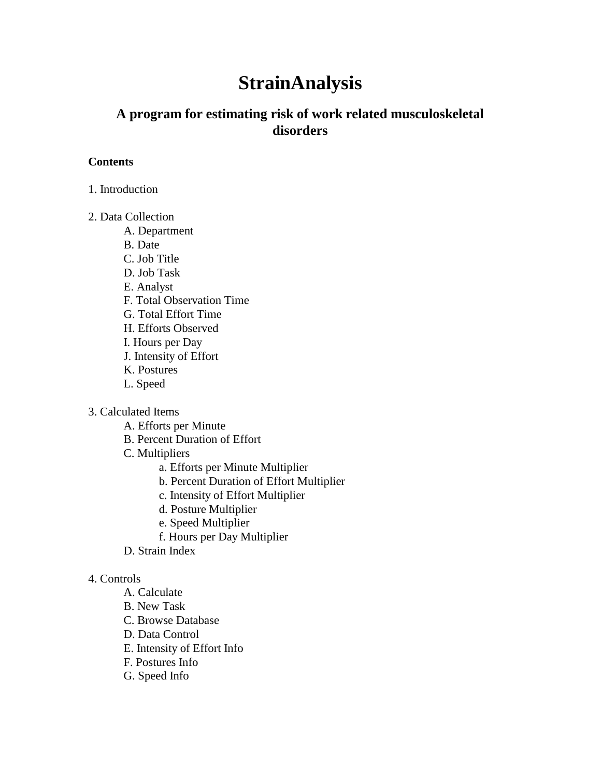# **StrainAnalysis**

# **A program for estimating risk of work related musculoskeletal disorders**

#### **Contents**

1. Introduction

#### 2. Data Collection

- A. Department
- B. Date
- C. Job Title
- D. Job Task
- E. Analyst
- F. Total Observation Time
- G. Total Effort Time
- H. Efforts Observed
- I. Hours per Day
- J. Intensity of Effort
- K. Postures
- L. Speed
- 3. Calculated Items
	- A. Efforts per Minute
	- B. Percent Duration of Effort
	- C. Multipliers
		- a. Efforts per Minute Multiplier
		- b. Percent Duration of Effort Multiplier
		- c. Intensity of Effort Multiplier
		- d. Posture Multiplier
		- e. Speed Multiplier
		- f. Hours per Day Multiplier
	- D. Strain Index

#### 4. Controls

- A. Calculate
- B. New Task
- C. Browse Database
- D. Data Control
- E. Intensity of Effort Info
- F. Postures Info
- G. Speed Info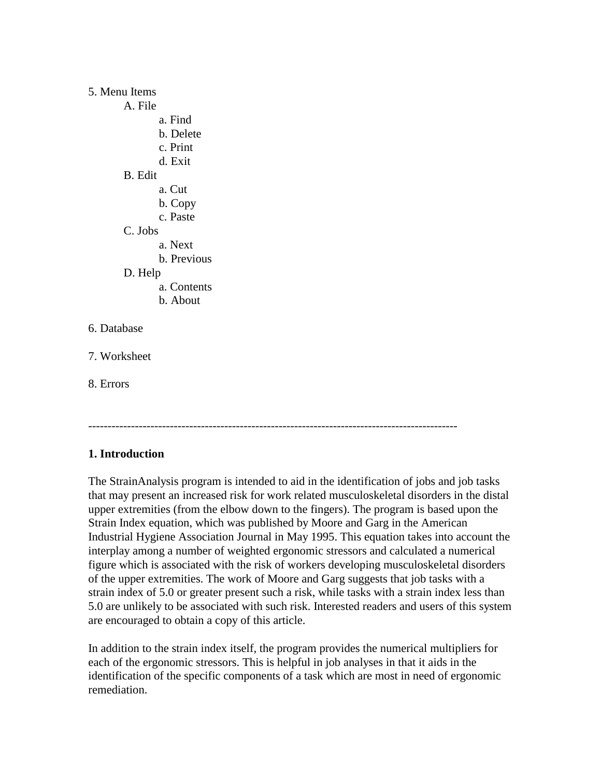#### 5. Menu Items

A. File a. Find b. Delete c. Print d. Exit B. Edit a. Cut b. Copy c. Paste C. Jobs a. Next b. Previous D. Help a. Contents b. About 6. Database 7. Worksheet 8. Errors

# -----------------------------------------------------------------------------------------------

# **1. Introduction**

The StrainAnalysis program is intended to aid in the identification of jobs and job tasks that may present an increased risk for work related musculoskeletal disorders in the distal upper extremities (from the elbow down to the fingers). The program is based upon the Strain Index equation, which was published by Moore and Garg in the American Industrial Hygiene Association Journal in May 1995. This equation takes into account the interplay among a number of weighted ergonomic stressors and calculated a numerical figure which is associated with the risk of workers developing musculoskeletal disorders of the upper extremities. The work of Moore and Garg suggests that job tasks with a strain index of 5.0 or greater present such a risk, while tasks with a strain index less than 5.0 are unlikely to be associated with such risk. Interested readers and users of this system are encouraged to obtain a copy of this article.

In addition to the strain index itself, the program provides the numerical multipliers for each of the ergonomic stressors. This is helpful in job analyses in that it aids in the identification of the specific components of a task which are most in need of ergonomic remediation.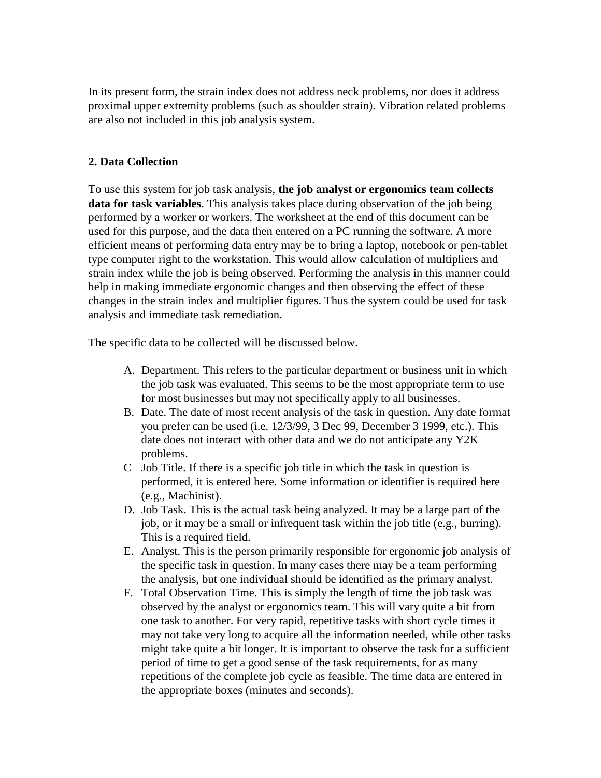In its present form, the strain index does not address neck problems, nor does it address proximal upper extremity problems (such as shoulder strain). Vibration related problems are also not included in this job analysis system.

# **2. Data Collection**

To use this system for job task analysis, **the job analyst or ergonomics team collects data for task variables**. This analysis takes place during observation of the job being performed by a worker or workers. The worksheet at the end of this document can be used for this purpose, and the data then entered on a PC running the software. A more efficient means of performing data entry may be to bring a laptop, notebook or pen-tablet type computer right to the workstation. This would allow calculation of multipliers and strain index while the job is being observed. Performing the analysis in this manner could help in making immediate ergonomic changes and then observing the effect of these changes in the strain index and multiplier figures. Thus the system could be used for task analysis and immediate task remediation.

The specific data to be collected will be discussed below.

- A. Department. This refers to the particular department or business unit in which the job task was evaluated. This seems to be the most appropriate term to use for most businesses but may not specifically apply to all businesses.
- B. Date. The date of most recent analysis of the task in question. Any date format you prefer can be used (i.e. 12/3/99, 3 Dec 99, December 3 1999, etc.). This date does not interact with other data and we do not anticipate any Y2K problems.
- C Job Title. If there is a specific job title in which the task in question is performed, it is entered here. Some information or identifier is required here (e.g., Machinist).
- D. Job Task. This is the actual task being analyzed. It may be a large part of the job, or it may be a small or infrequent task within the job title (e.g., burring). This is a required field.
- E. Analyst. This is the person primarily responsible for ergonomic job analysis of the specific task in question. In many cases there may be a team performing the analysis, but one individual should be identified as the primary analyst.
- F. Total Observation Time. This is simply the length of time the job task was observed by the analyst or ergonomics team. This will vary quite a bit from one task to another. For very rapid, repetitive tasks with short cycle times it may not take very long to acquire all the information needed, while other tasks might take quite a bit longer. It is important to observe the task for a sufficient period of time to get a good sense of the task requirements, for as many repetitions of the complete job cycle as feasible. The time data are entered in the appropriate boxes (minutes and seconds).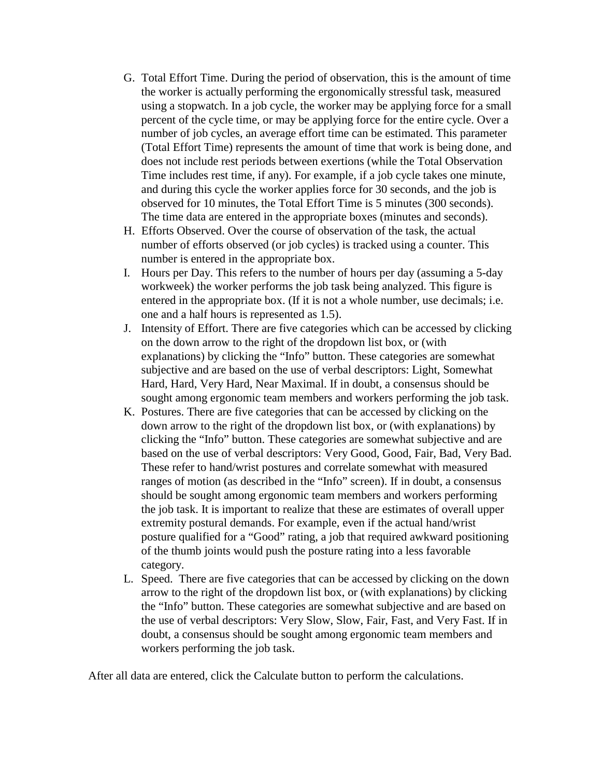- G. Total Effort Time. During the period of observation, this is the amount of time the worker is actually performing the ergonomically stressful task, measured using a stopwatch. In a job cycle, the worker may be applying force for a small percent of the cycle time, or may be applying force for the entire cycle. Over a number of job cycles, an average effort time can be estimated. This parameter (Total Effort Time) represents the amount of time that work is being done, and does not include rest periods between exertions (while the Total Observation Time includes rest time, if any). For example, if a job cycle takes one minute, and during this cycle the worker applies force for 30 seconds, and the job is observed for 10 minutes, the Total Effort Time is 5 minutes (300 seconds). The time data are entered in the appropriate boxes (minutes and seconds).
- H. Efforts Observed. Over the course of observation of the task, the actual number of efforts observed (or job cycles) is tracked using a counter. This number is entered in the appropriate box.
- I. Hours per Day. This refers to the number of hours per day (assuming a 5-day workweek) the worker performs the job task being analyzed. This figure is entered in the appropriate box. (If it is not a whole number, use decimals; i.e. one and a half hours is represented as 1.5).
- J. Intensity of Effort. There are five categories which can be accessed by clicking on the down arrow to the right of the dropdown list box, or (with explanations) by clicking the "Info" button. These categories are somewhat subjective and are based on the use of verbal descriptors: Light, Somewhat Hard, Hard, Very Hard, Near Maximal. If in doubt, a consensus should be sought among ergonomic team members and workers performing the job task.
- K. Postures. There are five categories that can be accessed by clicking on the down arrow to the right of the dropdown list box, or (with explanations) by clicking the "Info" button. These categories are somewhat subjective and are based on the use of verbal descriptors: Very Good, Good, Fair, Bad, Very Bad. These refer to hand/wrist postures and correlate somewhat with measured ranges of motion (as described in the "Info" screen). If in doubt, a consensus should be sought among ergonomic team members and workers performing the job task. It is important to realize that these are estimates of overall upper extremity postural demands. For example, even if the actual hand/wrist posture qualified for a "Good" rating, a job that required awkward positioning of the thumb joints would push the posture rating into a less favorable category.
- L. Speed. There are five categories that can be accessed by clicking on the down arrow to the right of the dropdown list box, or (with explanations) by clicking the "Info" button. These categories are somewhat subjective and are based on the use of verbal descriptors: Very Slow, Slow, Fair, Fast, and Very Fast. If in doubt, a consensus should be sought among ergonomic team members and workers performing the job task.

After all data are entered, click the Calculate button to perform the calculations.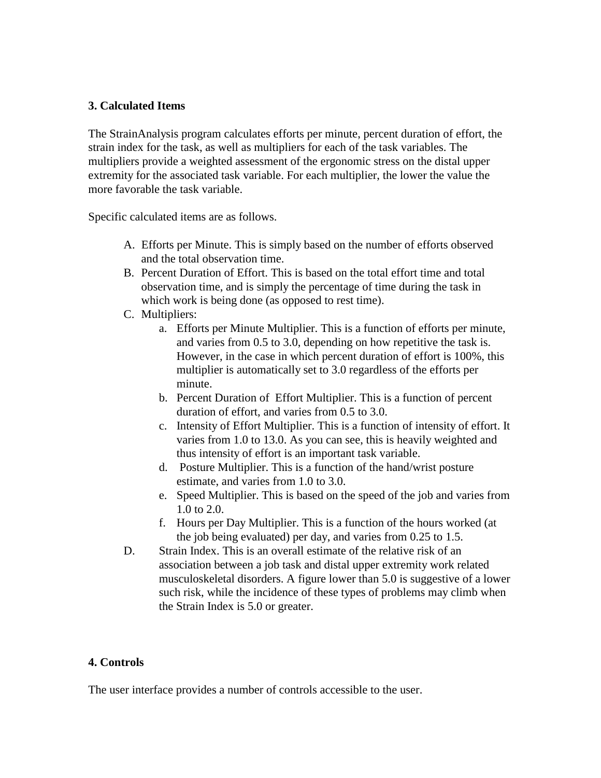#### **3. Calculated Items**

The StrainAnalysis program calculates efforts per minute, percent duration of effort, the strain index for the task, as well as multipliers for each of the task variables. The multipliers provide a weighted assessment of the ergonomic stress on the distal upper extremity for the associated task variable. For each multiplier, the lower the value the more favorable the task variable.

Specific calculated items are as follows.

- A. Efforts per Minute. This is simply based on the number of efforts observed and the total observation time.
- B. Percent Duration of Effort. This is based on the total effort time and total observation time, and is simply the percentage of time during the task in which work is being done (as opposed to rest time).
- C. Multipliers:
	- a. Efforts per Minute Multiplier. This is a function of efforts per minute, and varies from 0.5 to 3.0, depending on how repetitive the task is. However, in the case in which percent duration of effort is 100%, this multiplier is automatically set to 3.0 regardless of the efforts per minute.
	- b. Percent Duration of Effort Multiplier. This is a function of percent duration of effort, and varies from 0.5 to 3.0.
	- c. Intensity of Effort Multiplier. This is a function of intensity of effort. It varies from 1.0 to 13.0. As you can see, this is heavily weighted and thus intensity of effort is an important task variable.
	- d. Posture Multiplier. This is a function of the hand/wrist posture estimate, and varies from 1.0 to 3.0.
	- e. Speed Multiplier. This is based on the speed of the job and varies from 1.0 to 2.0.
	- f. Hours per Day Multiplier. This is a function of the hours worked (at the job being evaluated) per day, and varies from 0.25 to 1.5.
- D. Strain Index. This is an overall estimate of the relative risk of an association between a job task and distal upper extremity work related musculoskeletal disorders. A figure lower than 5.0 is suggestive of a lower such risk, while the incidence of these types of problems may climb when the Strain Index is 5.0 or greater.

#### **4. Controls**

The user interface provides a number of controls accessible to the user.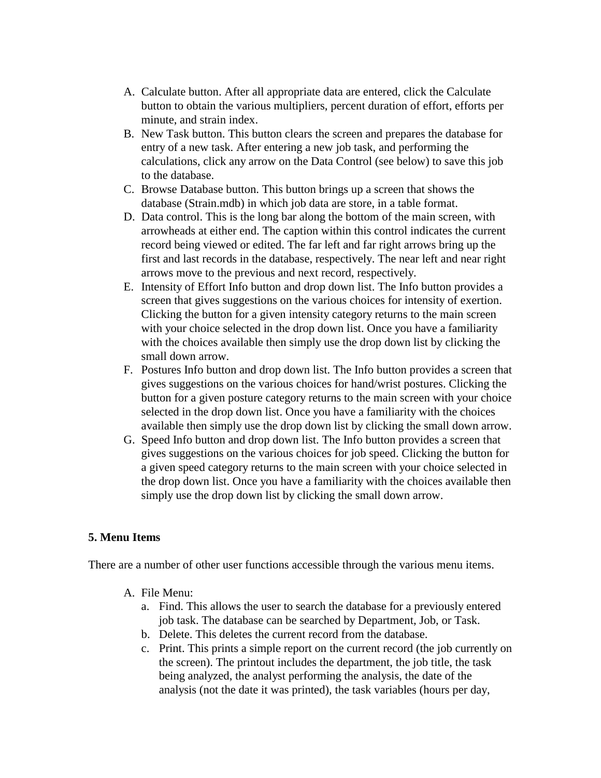- A. Calculate button. After all appropriate data are entered, click the Calculate button to obtain the various multipliers, percent duration of effort, efforts per minute, and strain index.
- B. New Task button. This button clears the screen and prepares the database for entry of a new task. After entering a new job task, and performing the calculations, click any arrow on the Data Control (see below) to save this job to the database.
- C. Browse Database button. This button brings up a screen that shows the database (Strain.mdb) in which job data are store, in a table format.
- D. Data control. This is the long bar along the bottom of the main screen, with arrowheads at either end. The caption within this control indicates the current record being viewed or edited. The far left and far right arrows bring up the first and last records in the database, respectively. The near left and near right arrows move to the previous and next record, respectively.
- E. Intensity of Effort Info button and drop down list. The Info button provides a screen that gives suggestions on the various choices for intensity of exertion. Clicking the button for a given intensity category returns to the main screen with your choice selected in the drop down list. Once you have a familiarity with the choices available then simply use the drop down list by clicking the small down arrow.
- F. Postures Info button and drop down list. The Info button provides a screen that gives suggestions on the various choices for hand/wrist postures. Clicking the button for a given posture category returns to the main screen with your choice selected in the drop down list. Once you have a familiarity with the choices available then simply use the drop down list by clicking the small down arrow.
- G. Speed Info button and drop down list. The Info button provides a screen that gives suggestions on the various choices for job speed. Clicking the button for a given speed category returns to the main screen with your choice selected in the drop down list. Once you have a familiarity with the choices available then simply use the drop down list by clicking the small down arrow.

# **5. Menu Items**

There are a number of other user functions accessible through the various menu items.

- A. File Menu:
	- a. Find. This allows the user to search the database for a previously entered job task. The database can be searched by Department, Job, or Task.
	- b. Delete. This deletes the current record from the database.
	- c. Print. This prints a simple report on the current record (the job currently on the screen). The printout includes the department, the job title, the task being analyzed, the analyst performing the analysis, the date of the analysis (not the date it was printed), the task variables (hours per day,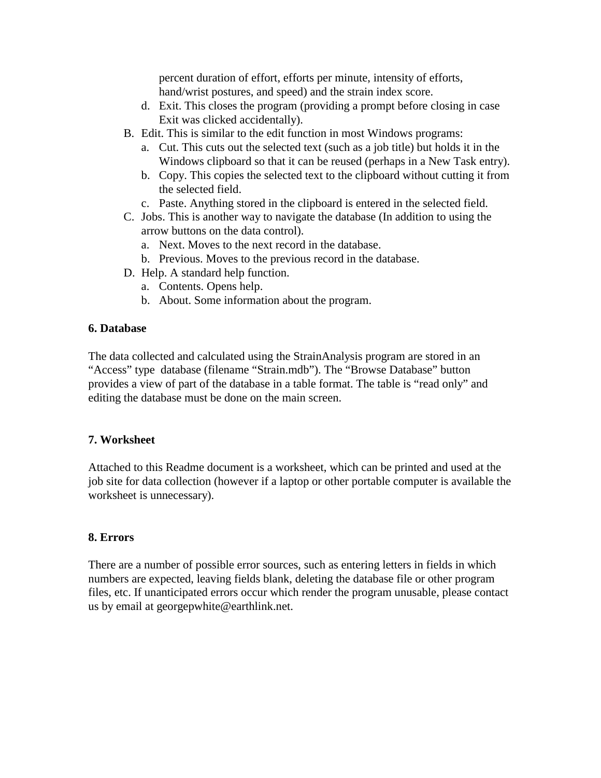percent duration of effort, efforts per minute, intensity of efforts, hand/wrist postures, and speed) and the strain index score.

- d. Exit. This closes the program (providing a prompt before closing in case Exit was clicked accidentally).
- B. Edit. This is similar to the edit function in most Windows programs:
	- a. Cut. This cuts out the selected text (such as a job title) but holds it in the Windows clipboard so that it can be reused (perhaps in a New Task entry).
	- b. Copy. This copies the selected text to the clipboard without cutting it from the selected field.
	- c. Paste. Anything stored in the clipboard is entered in the selected field.
- C. Jobs. This is another way to navigate the database (In addition to using the arrow buttons on the data control).
	- a. Next. Moves to the next record in the database.
	- b. Previous. Moves to the previous record in the database.
- D. Help. A standard help function.
	- a. Contents. Opens help.
	- b. About. Some information about the program.

# **6. Database**

The data collected and calculated using the StrainAnalysis program are stored in an "Access" type database (filename "Strain.mdb"). The "Browse Database" button provides a view of part of the database in a table format. The table is "read only" and editing the database must be done on the main screen.

# **7. Worksheet**

Attached to this Readme document is a worksheet, which can be printed and used at the job site for data collection (however if a laptop or other portable computer is available the worksheet is unnecessary).

# **8. Errors**

There are a number of possible error sources, such as entering letters in fields in which numbers are expected, leaving fields blank, deleting the database file or other program files, etc. If unanticipated errors occur which render the program unusable, please contact us by email at georgepwhite@earthlink.net.